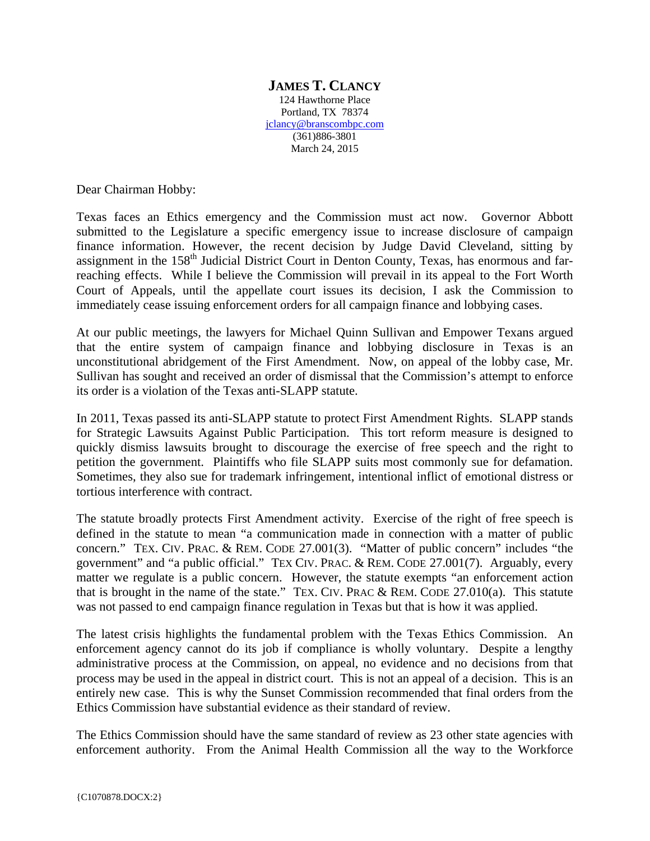## **JAMES T. CLANCY** 124 Hawthorne Place Portland, TX 78374 jclancy@branscombpc.com (361)886-3801 March 24, 2015

Dear Chairman Hobby:

Texas faces an Ethics emergency and the Commission must act now. Governor Abbott submitted to the Legislature a specific emergency issue to increase disclosure of campaign finance information. However, the recent decision by Judge David Cleveland, sitting by assignment in the 158<sup>th</sup> Judicial District Court in Denton County, Texas, has enormous and farreaching effects. While I believe the Commission will prevail in its appeal to the Fort Worth Court of Appeals, until the appellate court issues its decision, I ask the Commission to immediately cease issuing enforcement orders for all campaign finance and lobbying cases.

At our public meetings, the lawyers for Michael Quinn Sullivan and Empower Texans argued that the entire system of campaign finance and lobbying disclosure in Texas is an unconstitutional abridgement of the First Amendment. Now, on appeal of the lobby case, Mr. Sullivan has sought and received an order of dismissal that the Commission's attempt to enforce its order is a violation of the Texas anti-SLAPP statute.

In 2011, Texas passed its anti-SLAPP statute to protect First Amendment Rights. SLAPP stands for Strategic Lawsuits Against Public Participation. This tort reform measure is designed to quickly dismiss lawsuits brought to discourage the exercise of free speech and the right to petition the government. Plaintiffs who file SLAPP suits most commonly sue for defamation. Sometimes, they also sue for trademark infringement, intentional inflict of emotional distress or tortious interference with contract.

The statute broadly protects First Amendment activity. Exercise of the right of free speech is defined in the statute to mean "a communication made in connection with a matter of public concern." TEX. CIV. PRAC. & REM. CODE 27.001(3). "Matter of public concern" includes "the government" and "a public official." TEX CIV. PRAC. & REM. CODE 27.001(7). Arguably, every matter we regulate is a public concern. However, the statute exempts "an enforcement action that is brought in the name of the state." TEX. CIV. PRAC & REM. CODE 27.010(a). This statute was not passed to end campaign finance regulation in Texas but that is how it was applied.

The latest crisis highlights the fundamental problem with the Texas Ethics Commission. An enforcement agency cannot do its job if compliance is wholly voluntary. Despite a lengthy administrative process at the Commission, on appeal, no evidence and no decisions from that process may be used in the appeal in district court. This is not an appeal of a decision. This is an entirely new case. This is why the Sunset Commission recommended that final orders from the Ethics Commission have substantial evidence as their standard of review.

The Ethics Commission should have the same standard of review as 23 other state agencies with enforcement authority. From the Animal Health Commission all the way to the Workforce